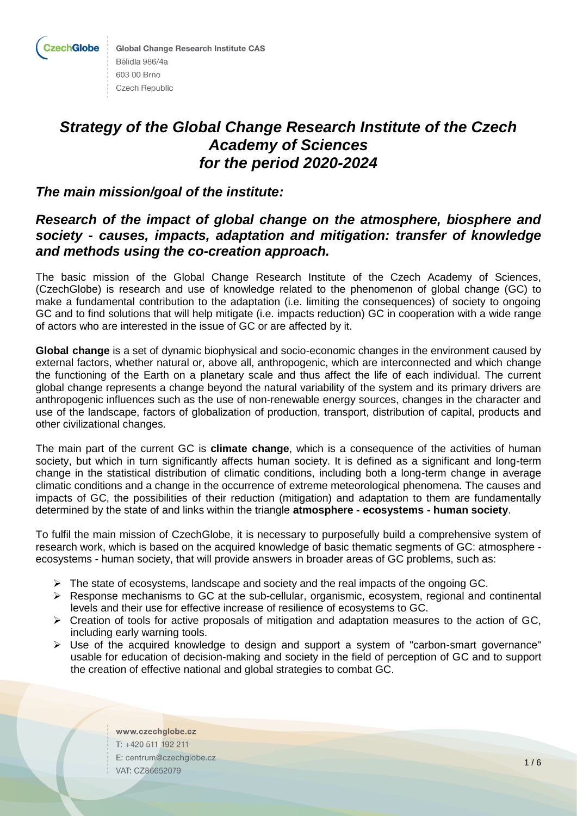

**Global Change Research Institute CAS** Bělidla 986/4a 603 00 Brno **Czech Republic** 

# *Strategy of the Global Change Research Institute of the Czech Academy of Sciences for the period 2020-2024*

# *The main mission/goal of the institute:*

# *Research of the impact of global change on the atmosphere, biosphere and society - causes, impacts, adaptation and mitigation: transfer of knowledge and methods using the co-creation approach.*

The basic mission of the Global Change Research Institute of the Czech Academy of Sciences, (CzechGlobe) is research and use of knowledge related to the phenomenon of global change (GC) to make a fundamental contribution to the adaptation (i.e. limiting the consequences) of society to ongoing GC and to find solutions that will help mitigate (i.e. impacts reduction) GC in cooperation with a wide range of actors who are interested in the issue of GC or are affected by it.

**Global change** is a set of dynamic biophysical and socio-economic changes in the environment caused by external factors, whether natural or, above all, anthropogenic, which are interconnected and which change the functioning of the Earth on a planetary scale and thus affect the life of each individual. The current global change represents a change beyond the natural variability of the system and its primary drivers are anthropogenic influences such as the use of non-renewable energy sources, changes in the character and use of the landscape, factors of globalization of production, transport, distribution of capital, products and other civilizational changes.

The main part of the current GC is **climate change**, which is a consequence of the activities of human society, but which in turn significantly affects human society. It is defined as a significant and long-term change in the statistical distribution of climatic conditions, including both a long-term change in average climatic conditions and a change in the occurrence of extreme meteorological phenomena. The causes and impacts of GC, the possibilities of their reduction (mitigation) and adaptation to them are fundamentally determined by the state of and links within the triangle **atmosphere - ecosystems - human society**.

To fulfil the main mission of CzechGlobe, it is necessary to purposefully build a comprehensive system of research work, which is based on the acquired knowledge of basic thematic segments of GC: atmosphere ecosystems - human society, that will provide answers in broader areas of GC problems, such as:

- $\triangleright$  The state of ecosystems, landscape and society and the real impacts of the ongoing GC.
- $\triangleright$  Response mechanisms to GC at the sub-cellular, organismic, ecosystem, regional and continental levels and their use for effective increase of resilience of ecosystems to GC.
- $\triangleright$  Creation of tools for active proposals of mitigation and adaptation measures to the action of GC, including early warning tools.
- ➢ Use of the acquired knowledge to design and support a system of "carbon-smart governance" usable for education of decision-making and society in the field of perception of GC and to support the creation of effective national and global strategies to combat GC.

www.czechglobe.cz T: +420 511 192 211 E: centrum@czechglobe.cz VAT: CZ86652079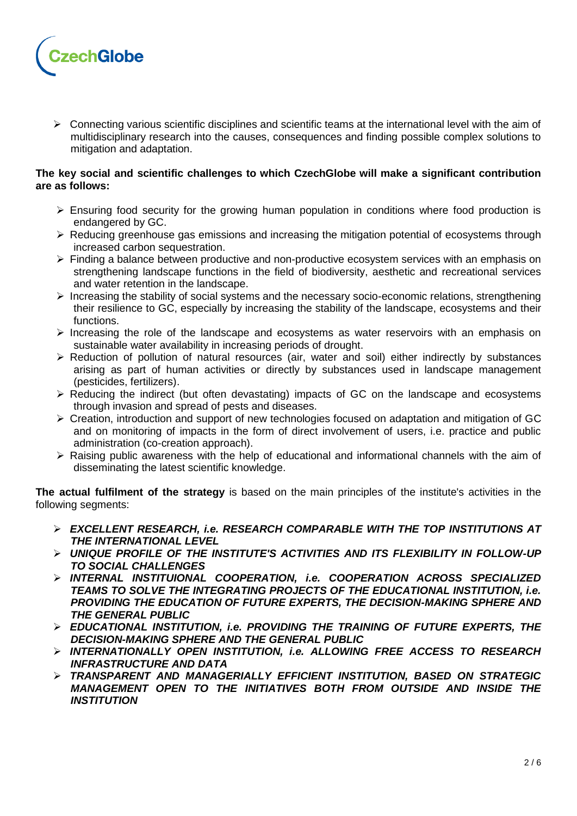

 $\triangleright$  Connecting various scientific disciplines and scientific teams at the international level with the aim of multidisciplinary research into the causes, consequences and finding possible complex solutions to mitigation and adaptation.

# **The key social and scientific challenges to which CzechGlobe will make a significant contribution are as follows:**

- $\triangleright$  Ensuring food security for the growing human population in conditions where food production is endangered by GC.
- ➢ Reducing greenhouse gas emissions and increasing the mitigation potential of ecosystems through increased carbon sequestration.
- ➢ Finding a balance between productive and non-productive ecosystem services with an emphasis on strengthening landscape functions in the field of biodiversity, aesthetic and recreational services and water retention in the landscape.
- ➢ Increasing the stability of social systems and the necessary socio-economic relations, strengthening their resilience to GC, especially by increasing the stability of the landscape, ecosystems and their functions.
- ➢ Increasing the role of the landscape and ecosystems as water reservoirs with an emphasis on sustainable water availability in increasing periods of drought.
- ➢ Reduction of pollution of natural resources (air, water and soil) either indirectly by substances arising as part of human activities or directly by substances used in landscape management (pesticides, fertilizers).
- ➢ Reducing the indirect (but often devastating) impacts of GC on the landscape and ecosystems through invasion and spread of pests and diseases.
- ➢ Creation, introduction and support of new technologies focused on adaptation and mitigation of GC and on monitoring of impacts in the form of direct involvement of users, i.e. practice and public administration (co-creation approach).
- ➢ Raising public awareness with the help of educational and informational channels with the aim of disseminating the latest scientific knowledge.

**The actual fulfilment of the strategy** is based on the main principles of the institute's activities in the following segments:

- ➢ *EXCELLENT RESEARCH, i.e. RESEARCH COMPARABLE WITH THE TOP INSTITUTIONS AT THE INTERNATIONAL LEVEL*
- ➢ *UNIQUE PROFILE OF THE INSTITUTE'S ACTIVITIES AND ITS FLEXIBILITY IN FOLLOW-UP TO SOCIAL CHALLENGES*
- ➢ *INTERNAL INSTITUIONAL COOPERATION, i.e. COOPERATION ACROSS SPECIALIZED TEAMS TO SOLVE THE INTEGRATING PROJECTS OF THE EDUCATIONAL INSTITUTION, i.e.*  **PROVIDING THE EDUCATION OF FUTURE EXPERTS, THE DECISION-MAKING SPHERE AND** *THE GENERAL PUBLIC*
- ➢ *EDUCATIONAL INSTITUTION, i.e. PROVIDING THE TRAINING OF FUTURE EXPERTS, THE DECISION-MAKING SPHERE AND THE GENERAL PUBLIC*
- ➢ *INTERNATIONALLY OPEN INSTITUTION, i.e. ALLOWING FREE ACCESS TO RESEARCH INFRASTRUCTURE AND DATA*
- ➢ *TRANSPARENT AND MANAGERIALLY EFFICIENT INSTITUTION, BASED ON STRATEGIC MANAGEMENT OPEN TO THE INITIATIVES BOTH FROM OUTSIDE AND INSIDE THE INSTITUTION*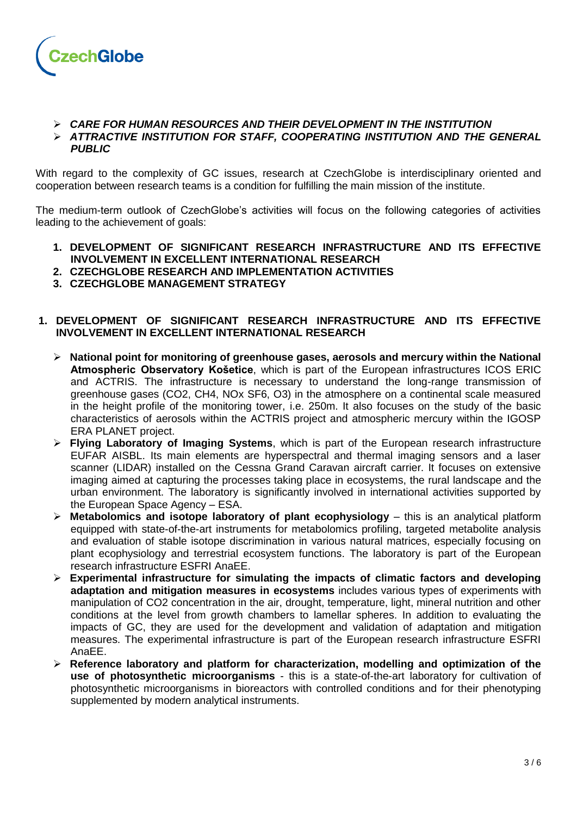

#### ➢ *CARE FOR HUMAN RESOURCES AND THEIR DEVELOPMENT IN THE INSTITUTION* ➢ *ATTRACTIVE INSTITUTION FOR STAFF, COOPERATING INSTITUTION AND THE GENERAL PUBLIC*

With regard to the complexity of GC issues, research at CzechGlobe is interdisciplinary oriented and cooperation between research teams is a condition for fulfilling the main mission of the institute.

The medium-term outlook of CzechGlobe's activities will focus on the following categories of activities leading to the achievement of goals:

- **1. DEVELOPMENT OF SIGNIFICANT RESEARCH INFRASTRUCTURE AND ITS EFFECTIVE INVOLVEMENT IN EXCELLENT INTERNATIONAL RESEARCH**
- **2. CZECHGLOBE RESEARCH AND IMPLEMENTATION ACTIVITIES**
- **3. CZECHGLOBE MANAGEMENT STRATEGY**

# **1. DEVELOPMENT OF SIGNIFICANT RESEARCH INFRASTRUCTURE AND ITS EFFECTIVE INVOLVEMENT IN EXCELLENT INTERNATIONAL RESEARCH**

- ➢ **National point for monitoring of greenhouse gases, aerosols and mercury within the National Atmospheric Observatory Košetice**, which is part of the European infrastructures ICOS ERIC and ACTRIS. The infrastructure is necessary to understand the long-range transmission of greenhouse gases (CO2, CH4, NOx SF6, O3) in the atmosphere on a continental scale measured in the height profile of the monitoring tower, i.e. 250m. It also focuses on the study of the basic characteristics of aerosols within the ACTRIS project and atmospheric mercury within the IGOSP ERA PLANET project.
- ➢ **Flying Laboratory of Imaging Systems**, which is part of the European research infrastructure EUFAR AISBL. Its main elements are hyperspectral and thermal imaging sensors and a laser scanner (LIDAR) installed on the Cessna Grand Caravan aircraft carrier. It focuses on extensive imaging aimed at capturing the processes taking place in ecosystems, the rural landscape and the urban environment. The laboratory is significantly involved in international activities supported by the European Space Agency – ESA.
- ➢ **Metabolomics and isotope laboratory of plant ecophysiology** this is an analytical platform equipped with state-of-the-art instruments for metabolomics profiling, targeted metabolite analysis and evaluation of stable isotope discrimination in various natural matrices, especially focusing on plant ecophysiology and terrestrial ecosystem functions. The laboratory is part of the European research infrastructure ESFRI AnaEE.
- ➢ **Experimental infrastructure for simulating the impacts of climatic factors and developing adaptation and mitigation measures in ecosystems** includes various types of experiments with manipulation of CO2 concentration in the air, drought, temperature, light, mineral nutrition and other conditions at the level from growth chambers to lamellar spheres. In addition to evaluating the impacts of GC, they are used for the development and validation of adaptation and mitigation measures. The experimental infrastructure is part of the European research infrastructure ESFRI AnaEE.
- ➢ **Reference laboratory and platform for characterization, modelling and optimization of the use of photosynthetic microorganisms** - this is a state-of-the-art laboratory for cultivation of photosynthetic microorganisms in bioreactors with controlled conditions and for their phenotyping supplemented by modern analytical instruments.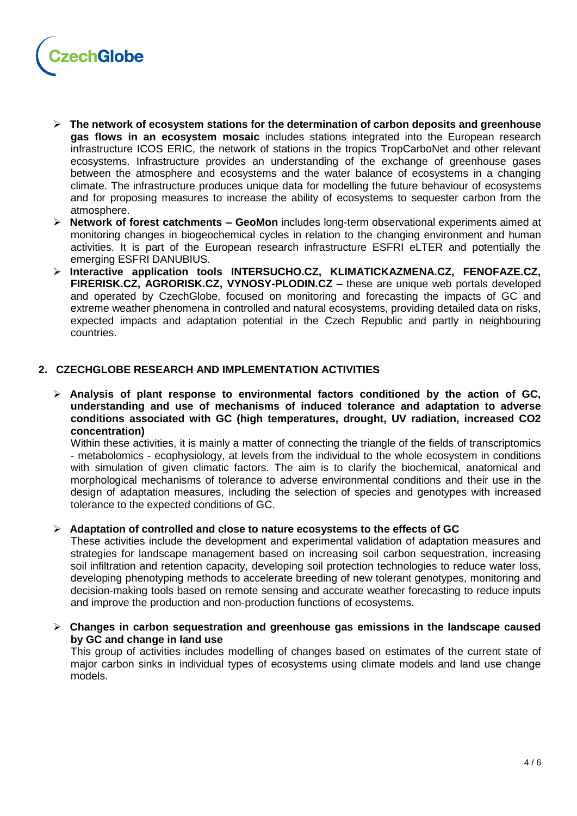

- ➢ **The network of ecosystem stations for the determination of carbon deposits and greenhouse gas flows in an ecosystem mosaic** includes stations integrated into the European research infrastructure ICOS ERIC, the network of stations in the tropics TropCarboNet and other relevant ecosystems. Infrastructure provides an understanding of the exchange of greenhouse gases between the atmosphere and ecosystems and the water balance of ecosystems in a changing climate. The infrastructure produces unique data for modelling the future behaviour of ecosystems and for proposing measures to increase the ability of ecosystems to sequester carbon from the atmosphere.
- ➢ **Network of forest catchments – GeoMon** includes long-term observational experiments aimed at monitoring changes in biogeochemical cycles in relation to the changing environment and human activities. It is part of the European research infrastructure ESFRI eLTER and potentially the emerging ESFRI DANUBIUS.
- ➢ **Interactive application tools INTERSUCHO.CZ, KLIMATICKAZMENA.CZ, FENOFAZE.CZ, FIRERISK.CZ, AGRORISK.CZ, VYNOSY-PLODIN.CZ –** these are unique web portals developed and operated by CzechGlobe, focused on monitoring and forecasting the impacts of GC and extreme weather phenomena in controlled and natural ecosystems, providing detailed data on risks, expected impacts and adaptation potential in the Czech Republic and partly in neighbouring countries.

# **2. CZECHGLOBE RESEARCH AND IMPLEMENTATION ACTIVITIES**

➢ **Analysis of plant response to environmental factors conditioned by the action of GC, understanding and use of mechanisms of induced tolerance and adaptation to adverse conditions associated with GC (high temperatures, drought, UV radiation, increased CO2 concentration)**

Within these activities, it is mainly a matter of connecting the triangle of the fields of transcriptomics - metabolomics - ecophysiology, at levels from the individual to the whole ecosystem in conditions with simulation of given climatic factors. The aim is to clarify the biochemical, anatomical and morphological mechanisms of tolerance to adverse environmental conditions and their use in the design of adaptation measures, including the selection of species and genotypes with increased tolerance to the expected conditions of GC.

# ➢ **Adaptation of controlled and close to nature ecosystems to the effects of GC**

These activities include the development and experimental validation of adaptation measures and strategies for landscape management based on increasing soil carbon sequestration, increasing soil infiltration and retention capacity, developing soil protection technologies to reduce water loss, developing phenotyping methods to accelerate breeding of new tolerant genotypes, monitoring and decision-making tools based on remote sensing and accurate weather forecasting to reduce inputs and improve the production and non-production functions of ecosystems.

➢ **Changes in carbon sequestration and greenhouse gas emissions in the landscape caused by GC and change in land use**

This group of activities includes modelling of changes based on estimates of the current state of major carbon sinks in individual types of ecosystems using climate models and land use change models.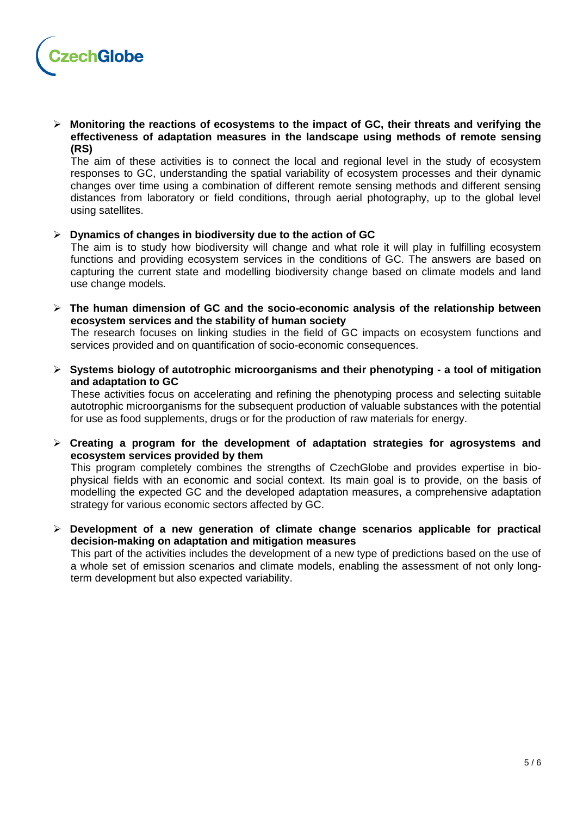

➢ **Monitoring the reactions of ecosystems to the impact of GC, their threats and verifying the effectiveness of adaptation measures in the landscape using methods of remote sensing (RS)**

The aim of these activities is to connect the local and regional level in the study of ecosystem responses to GC, understanding the spatial variability of ecosystem processes and their dynamic changes over time using a combination of different remote sensing methods and different sensing distances from laboratory or field conditions, through aerial photography, up to the global level using satellites.

#### ➢ **Dynamics of changes in biodiversity due to the action of GC**

The aim is to study how biodiversity will change and what role it will play in fulfilling ecosystem functions and providing ecosystem services in the conditions of GC. The answers are based on capturing the current state and modelling biodiversity change based on climate models and land use change models.

➢ **The human dimension of GC and the socio-economic analysis of the relationship between ecosystem services and the stability of human society**

The research focuses on linking studies in the field of GC impacts on ecosystem functions and services provided and on quantification of socio-economic consequences.

➢ **Systems biology of autotrophic microorganisms and their phenotyping - a tool of mitigation and adaptation to GC**

These activities focus on accelerating and refining the phenotyping process and selecting suitable autotrophic microorganisms for the subsequent production of valuable substances with the potential for use as food supplements, drugs or for the production of raw materials for energy.

➢ **Creating a program for the development of adaptation strategies for agrosystems and ecosystem services provided by them**

This program completely combines the strengths of CzechGlobe and provides expertise in biophysical fields with an economic and social context. Its main goal is to provide, on the basis of modelling the expected GC and the developed adaptation measures, a comprehensive adaptation strategy for various economic sectors affected by GC.

➢ **Development of a new generation of climate change scenarios applicable for practical decision-making on adaptation and mitigation measures**

This part of the activities includes the development of a new type of predictions based on the use of a whole set of emission scenarios and climate models, enabling the assessment of not only longterm development but also expected variability.